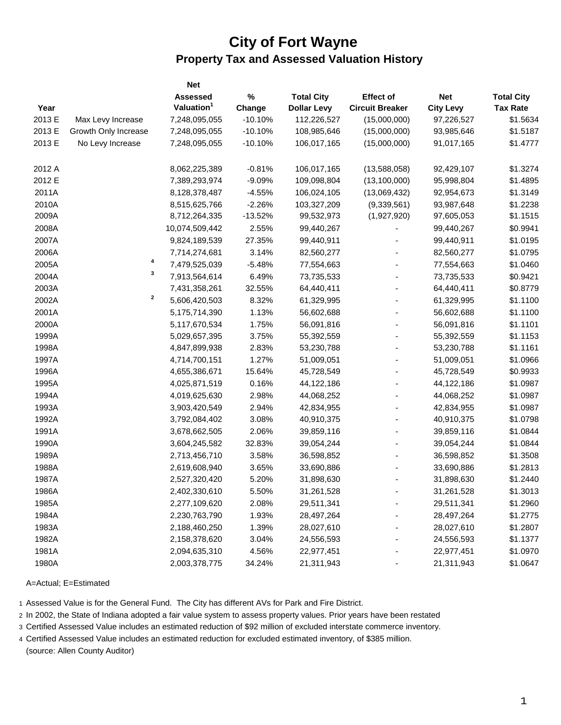## **City of Fort Wayne Property Tax and Assessed Valuation History**

|        |                      | <b>Net</b>             |           |                    |                        |                  |                   |
|--------|----------------------|------------------------|-----------|--------------------|------------------------|------------------|-------------------|
|        |                      | <b>Assessed</b>        | $\%$      | <b>Total City</b>  | <b>Effect of</b>       | <b>Net</b>       | <b>Total City</b> |
| Year   |                      | Valuation <sup>1</sup> | Change    | <b>Dollar Levy</b> | <b>Circuit Breaker</b> | <b>City Levy</b> | <b>Tax Rate</b>   |
| 2013 E | Max Levy Increase    | 7,248,095,055          | $-10.10%$ | 112,226,527        | (15,000,000)           | 97,226,527       | \$1.5634          |
| 2013 E | Growth Only Increase | 7,248,095,055          | $-10.10%$ | 108,985,646        | (15,000,000)           | 93,985,646       | \$1.5187          |
| 2013 E | No Levy Increase     | 7,248,095,055          | $-10.10%$ | 106,017,165        | (15,000,000)           | 91,017,165       | \$1.4777          |
| 2012 A |                      | 8,062,225,389          | $-0.81%$  | 106,017,165        | (13,588,058)           | 92,429,107       | \$1.3274          |
| 2012 E |                      | 7,389,293,974          | $-9.09%$  | 109,098,804        | (13, 100, 000)         | 95,998,804       | \$1.4895          |
| 2011A  |                      | 8,128,378,487          | $-4.55%$  | 106,024,105        | (13,069,432)           | 92,954,673       | \$1.3149          |
| 2010A  |                      | 8,515,625,766          | $-2.26%$  | 103,327,209        | (9,339,561)            | 93,987,648       | \$1.2238          |
| 2009A  |                      | 8,712,264,335          | $-13.52%$ | 99,532,973         | (1,927,920)            | 97,605,053       | \$1.1515          |
| 2008A  |                      | 10,074,509,442         | 2.55%     | 99,440,267         |                        | 99,440,267       | \$0.9941          |
| 2007A  |                      | 9,824,189,539          | 27.35%    | 99,440,911         |                        | 99,440,911       | \$1.0195          |
| 2006A  |                      | 7,714,274,681          | 3.14%     | 82,560,277         |                        | 82,560,277       | \$1.0795          |
| 2005A  | 4                    | 7,479,525,039          | $-5.48%$  | 77,554,663         |                        | 77,554,663       | \$1.0460          |
| 2004A  | 3                    | 7,913,564,614          | 6.49%     | 73,735,533         |                        | 73,735,533       | \$0.9421          |
| 2003A  |                      | 7,431,358,261          | 32.55%    | 64,440,411         |                        | 64,440,411       | \$0.8779          |
| 2002A  | 2                    | 5,606,420,503          | 8.32%     | 61,329,995         |                        | 61,329,995       | \$1.1100          |
| 2001A  |                      | 5,175,714,390          | 1.13%     | 56,602,688         |                        | 56,602,688       | \$1.1100          |
| 2000A  |                      | 5,117,670,534          | 1.75%     | 56,091,816         |                        | 56,091,816       | \$1.1101          |
| 1999A  |                      | 5,029,657,395          | 3.75%     | 55,392,559         |                        | 55,392,559       | \$1.1153          |
| 1998A  |                      | 4,847,899,938          | 2.83%     | 53,230,788         |                        | 53,230,788       | \$1.1161          |
| 1997A  |                      | 4,714,700,151          | 1.27%     | 51,009,051         |                        | 51,009,051       | \$1.0966          |
| 1996A  |                      | 4,655,386,671          | 15.64%    | 45,728,549         |                        | 45,728,549       | \$0.9933          |
| 1995A  |                      | 4,025,871,519          | 0.16%     | 44,122,186         |                        | 44,122,186       | \$1.0987          |
| 1994A  |                      | 4,019,625,630          | 2.98%     | 44,068,252         |                        | 44,068,252       | \$1.0987          |
| 1993A  |                      | 3,903,420,549          | 2.94%     | 42,834,955         |                        | 42,834,955       | \$1.0987          |
| 1992A  |                      | 3,792,084,402          | 3.08%     | 40,910,375         |                        | 40,910,375       | \$1.0798          |
| 1991A  |                      | 3,678,662,505          | 2.06%     | 39,859,116         |                        | 39,859,116       | \$1.0844          |
| 1990A  |                      | 3,604,245,582          | 32.83%    | 39,054,244         |                        | 39,054,244       | \$1.0844          |
| 1989A  |                      | 2,713,456,710          | 3.58%     | 36,598,852         |                        | 36,598,852       | \$1.3508          |
| 1988A  |                      | 2,619,608,940          | 3.65%     | 33,690,886         |                        | 33,690,886       | \$1.2813          |
| 1987A  |                      | 2,527,320,420          | 5.20%     | 31,898,630         |                        | 31,898,630       | \$1.2440          |
| 1986A  |                      | 2,402,330,610          | 5.50%     | 31,261,528         |                        | 31,261,528       | \$1.3013          |
| 1985A  |                      | 2,277,109,620          | 2.08%     | 29,511,341         |                        | 29,511,341       | \$1.2960          |
| 1984A  |                      | 2,230,763,790          | 1.93%     | 28,497,264         |                        | 28,497,264       | \$1.2775          |
| 1983A  |                      | 2,188,460,250          | 1.39%     | 28,027,610         |                        | 28,027,610       | \$1.2807          |
| 1982A  |                      | 2,158,378,620          | 3.04%     | 24,556,593         |                        | 24,556,593       | \$1.1377          |
| 1981A  |                      | 2,094,635,310          | 4.56%     | 22,977,451         |                        | 22,977,451       | \$1.0970          |
| 1980A  |                      | 2,003,378,775          | 34.24%    | 21,311,943         |                        | 21,311,943       | \$1.0647          |

A=Actual; E=Estimated

1 Assessed Value is for the General Fund. The City has different AVs for Park and Fire District.

2 In 2002, the State of Indiana adopted a fair value system to assess property values. Prior years have been restated

3 Certified Assessed Value includes an estimated reduction of \$92 million of excluded interstate commerce inventory.

4 Certified Assessed Value includes an estimated reduction for excluded estimated inventory, of \$385 million.

(source: Allen County Auditor)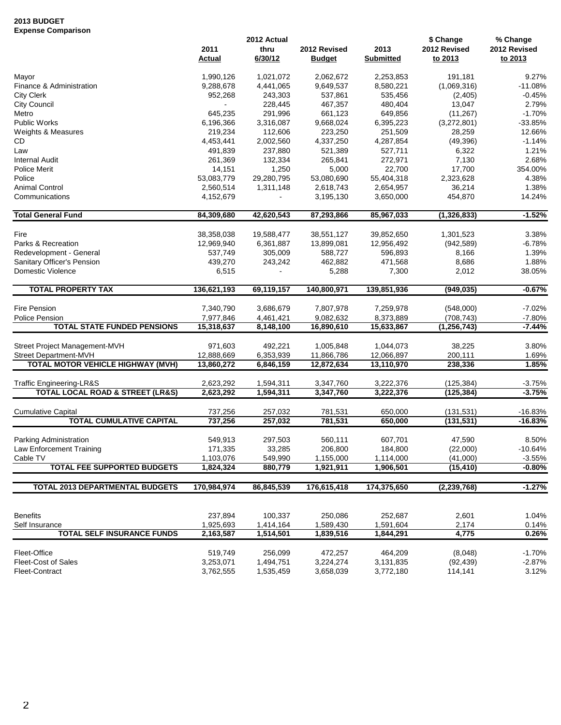## **2013 BUDGET Expense Comparison**

|                                                 | 2011<br><b>Actual</b> | 2012 Actual<br>thru<br>6/30/12 | 2012 Revised<br><b>Budget</b> | 2013<br><b>Submitted</b> | \$ Change<br>2012 Revised<br>to 2013 | % Change<br>2012 Revised<br>to 2013 |
|-------------------------------------------------|-----------------------|--------------------------------|-------------------------------|--------------------------|--------------------------------------|-------------------------------------|
| Mayor                                           | 1,990,126             | 1,021,072                      | 2,062,672                     | 2,253,853                | 191,181                              | 9.27%                               |
| Finance & Administration                        | 9,288,678             | 4,441,065                      | 9,649,537                     | 8,580,221                | (1,069,316)                          | $-11.08%$                           |
| <b>City Clerk</b>                               | 952,268               | 243,303                        | 537,861                       | 535,456                  | (2,405)                              | $-0.45%$                            |
| City Council                                    |                       | 228,445                        | 467,357                       | 480,404                  | 13,047                               | 2.79%                               |
| Metro                                           | 645,235               | 291,996                        | 661,123                       | 649,856                  | (11, 267)                            | $-1.70%$                            |
| <b>Public Works</b>                             | 6,196,366             | 3,316,087                      | 9,668,024                     | 6,395,223                | (3,272,801)                          | $-33.85%$                           |
| Weights & Measures                              | 219,234               | 112,606                        | 223,250                       | 251,509                  | 28,259                               | 12.66%                              |
| CD                                              | 4,453,441             | 2,002,560                      | 4,337,250                     | 4,287,854                | (49, 396)                            | $-1.14%$                            |
| Law                                             | 491,839               | 237,880                        | 521,389                       | 527,711                  | 6,322                                | 1.21%                               |
| <b>Internal Audit</b>                           | 261,369               | 132,334                        | 265,841                       | 272,971                  | 7,130                                | 2.68%                               |
| Police Merit                                    | 14,151                | 1,250                          | 5,000                         | 22,700                   | 17,700                               | 354.00%                             |
| Police                                          | 53,083,779            | 29,280,795                     | 53,080,690                    | 55,404,318               | 2,323,628                            | 4.38%                               |
| Animal Control                                  | 2,560,514             | 1,311,148                      | 2,618,743                     | 2,654,957                | 36,214                               | 1.38%                               |
| Communications                                  | 4,152,679             |                                | 3,195,130                     | 3,650,000                | 454,870                              | 14.24%                              |
| <b>Total General Fund</b>                       | 84,309,680            | 42,620,543                     | 87,293,866                    | 85,967,033               | (1,326,833)                          | $-1.52%$                            |
| Fire                                            | 38,358,038            | 19,588,477                     | 38,551,127                    | 39,852,650               | 1,301,523                            | 3.38%                               |
| Parks & Recreation                              | 12,969,940            | 6,361,887                      | 13,899,081                    | 12,956,492               | (942, 589)                           | $-6.78%$                            |
| Redevelopment - General                         | 537,749               | 305,009                        | 588,727                       | 596,893                  | 8,166                                | 1.39%                               |
| Sanitary Officer's Pension                      | 439,270               | 243,242                        | 462,882                       | 471,568                  | 8,686                                | 1.88%                               |
| Domestic Violence                               | 6,515                 |                                | 5,288                         | 7,300                    | 2,012                                | 38.05%                              |
| <b>TOTAL PROPERTY TAX</b>                       | 136,621,193           | 69,119,157                     | 140,800,971                   | 139,851,936              | (949, 035)                           | $-0.67%$                            |
|                                                 |                       |                                |                               |                          |                                      |                                     |
| Fire Pension                                    | 7,340,790             | 3,686,679                      | 7,807,978                     | 7,259,978                | (548,000)                            | $-7.02%$                            |
| <b>Police Pension</b>                           | 7,977,846             | 4,461,421                      | 9,082,632                     | 8,373,889                | (708, 743)                           | $-7.80%$                            |
| <b>TOTAL STATE FUNDED PENSIONS</b>              | 15,318,637            | 8,148,100                      | 16,890,610                    | 15,633,867               | (1, 256, 743)                        | $-7.44%$                            |
| Street Project Management-MVH                   | 971,603               | 492,221                        | 1,005,848                     | 1,044,073                | 38,225                               | 3.80%                               |
| <b>Street Department-MVH</b>                    | 12,888,669            | 6,353,939                      | 11,866,786                    | 12,066,897               | 200,111                              | 1.69%                               |
| TOTAL MOTOR VEHICLE HIGHWAY (MVH)               | 13,860,272            | 6,846,159                      | 12,872,634                    | 13,110,970               | 238,336                              | 1.85%                               |
| Traffic Engineering-LR&S                        | 2,623,292             | 1,594,311                      | 3,347,760                     | 3,222,376                | (125, 384)                           | $-3.75%$                            |
| <b>TOTAL LOCAL ROAD &amp; STREET (LR&amp;S)</b> | 2,623,292             | 1,594,311                      | 3,347,760                     | 3,222,376                | (125, 384)                           | $-3.75%$                            |
| <b>Cumulative Capital</b>                       | 737,256               | 257,032                        | 781,531                       | 650,000                  | (131, 531)                           | $-16.83%$                           |
| <b>TOTAL CUMULATIVE CAPITAL</b>                 | 737,256               | 257,032                        | 781,531                       | 650,000                  | (131, 531)                           | $-16.83%$                           |
| Parking Administration                          | 549,913               | 297,503                        | 560,111                       | 607,701                  | 47,590                               | 8.50%                               |
| Law Enforcement Training                        | 171,335               | 33,285                         | 206,800                       | 184,800                  | (22,000)                             | $-10.64%$                           |
| Cable TV                                        | 1,103,076             | 549,990                        | 1,155,000                     | 1,114,000                |                                      | $-3.55%$                            |
| <b>TOTAL FEE SUPPORTED BUDGETS</b>              | 1,824,324             | 880,779                        | 1,921,911                     | 1,906,501                | (41,000)<br>(15, 410)                | $-0.80%$                            |
| <b>TOTAL 2013 DEPARTMENTAL BUDGETS</b>          |                       | 86,845,539                     |                               | 174,375,650              |                                      |                                     |
|                                                 | 170,984,974           |                                | 176,615,418                   |                          | (2, 239, 768)                        | $-1.27%$                            |
| <b>Benefits</b>                                 | 237,894               | 100,337                        | 250,086                       | 252,687                  | 2,601                                | 1.04%                               |
| Self Insurance                                  | 1,925,693             | 1,414,164                      | 1,589,430                     | 1,591,604                | 2,174                                | 0.14%                               |
| <b>TOTAL SELF INSURANCE FUNDS</b>               | 2,163,587             | 1,514,501                      | 1,839,516                     | 1,844,291                | 4,775                                | 0.26%                               |
|                                                 |                       |                                |                               |                          |                                      |                                     |
| Fleet-Office                                    | 519,749               | 256,099                        | 472,257                       | 464,209                  | (8,048)                              | $-1.70%$                            |
| Fleet-Cost of Sales                             | 3,253,071             | 1,494,751                      | 3,224,274                     | 3,131,835                | (92, 439)                            | $-2.87%$                            |
| Fleet-Contract                                  | 3,762,555             | 1,535,459                      | 3,658,039                     | 3,772,180                | 114,141                              | 3.12%                               |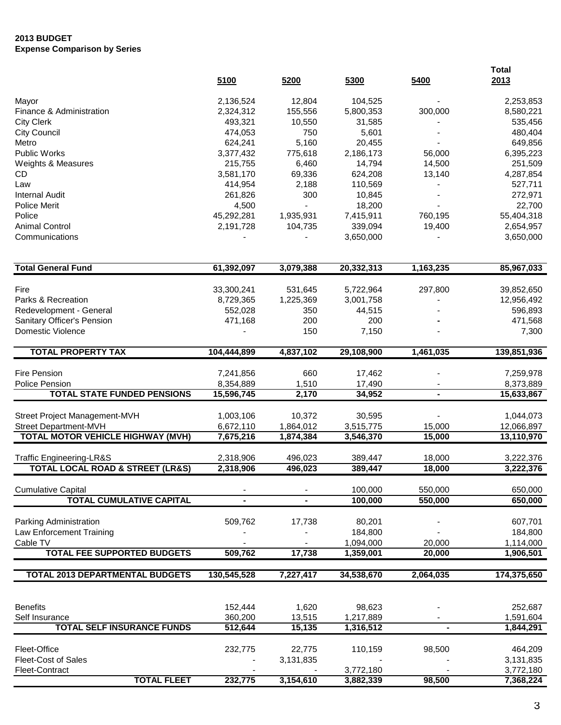## **2013 BUDGET Expense Comparison by Series**

|                                                 | 5100        | 5200      | 5300       | 5400           | <b>Total</b><br>2013 |
|-------------------------------------------------|-------------|-----------|------------|----------------|----------------------|
| Mayor                                           | 2,136,524   | 12,804    | 104,525    |                | 2,253,853            |
| Finance & Administration                        | 2,324,312   | 155,556   | 5,800,353  | 300,000        | 8,580,221            |
| <b>City Clerk</b>                               | 493,321     | 10,550    | 31,585     |                | 535,456              |
| <b>City Council</b>                             | 474,053     | 750       | 5,601      |                | 480,404              |
| Metro                                           | 624,241     | 5,160     | 20,455     |                | 649,856              |
| <b>Public Works</b>                             | 3,377,432   | 775,618   | 2,186,173  | 56,000         | 6,395,223            |
| Weights & Measures                              | 215,755     | 6,460     | 14,794     | 14,500         | 251,509              |
| CD                                              | 3,581,170   | 69,336    | 624,208    | 13,140         | 4,287,854            |
| Law                                             | 414,954     | 2,188     | 110,569    |                | 527,711              |
| <b>Internal Audit</b>                           | 261,826     | 300       | 10,845     |                | 272,971              |
| <b>Police Merit</b>                             | 4,500       |           | 18,200     |                | 22,700               |
| Police                                          | 45,292,281  | 1,935,931 | 7,415,911  | 760,195        | 55,404,318           |
| <b>Animal Control</b>                           | 2,191,728   | 104,735   | 339,094    | 19,400         | 2,654,957            |
| Communications                                  |             |           | 3,650,000  |                | 3,650,000            |
| <b>Total General Fund</b>                       | 61,392,097  | 3,079,388 | 20,332,313 | 1,163,235      | 85,967,033           |
|                                                 |             |           |            |                |                      |
| Fire                                            | 33,300,241  | 531,645   | 5,722,964  | 297,800        | 39,852,650           |
| Parks & Recreation                              | 8,729,365   | 1,225,369 | 3,001,758  |                | 12,956,492           |
| Redevelopment - General                         | 552,028     | 350       | 44,515     |                | 596,893              |
| Sanitary Officer's Pension                      | 471,168     | 200       | 200        |                | 471,568              |
| <b>Domestic Violence</b>                        |             | 150       | 7,150      |                | 7,300                |
| <b>TOTAL PROPERTY TAX</b>                       | 104,444,899 | 4,837,102 | 29,108,900 | 1,461,035      | 139,851,936          |
| Fire Pension                                    | 7,241,856   | 660       | 17,462     |                | 7,259,978            |
| <b>Police Pension</b>                           | 8,354,889   | 1,510     | 17,490     |                | 8,373,889            |
| <b>TOTAL STATE FUNDED PENSIONS</b>              | 15,596,745  | 2,170     | 34,952     | $\blacksquare$ | 15,633,867           |
|                                                 |             |           |            |                |                      |
| Street Project Management-MVH                   | 1,003,106   | 10,372    | 30,595     |                | 1,044,073            |
| Street Department-MVH                           | 6,672,110   | 1,864,012 | 3,515,775  | 15,000         | 12,066,897           |
| <b>TOTAL MOTOR VEHICLE HIGHWAY (MVH)</b>        | 7,675,216   | 1,874,384 | 3,546,370  | 15,000         | 13,110,970           |
| <b>Traffic Engineering-LR&amp;S</b>             | 2,318,906   | 496,023   | 389,447    | 18,000         | 3,222,376            |
| <b>TOTAL LOCAL ROAD &amp; STREET (LR&amp;S)</b> | 2,318,906   | 496,023   | 389,447    | 18,000         | 3,222,376            |
| <b>Cumulative Capital</b>                       |             |           | 100,000    | 550,000        | 650,000              |
| <b>TOTAL CUMULATIVE CAPITAL</b>                 |             |           | 100,000    | 550,000        | 650,000              |
|                                                 |             |           |            |                |                      |
| Parking Administration                          | 509,762     | 17,738    | 80,201     |                | 607,701              |
| Law Enforcement Training                        |             |           | 184,800    |                | 184,800              |
| Cable TV<br><b>TOTAL FEE SUPPORTED BUDGETS</b>  |             |           | 1,094,000  | 20,000         | 1,114,000            |
|                                                 | 509,762     | 17,738    | 1,359,001  | 20,000         | 1,906,501            |
| <b>TOTAL 2013 DEPARTMENTAL BUDGETS</b>          | 130,545,528 | 7,227,417 | 34,538,670 | 2,064,035      | 174,375,650          |
|                                                 |             |           |            |                |                      |
| <b>Benefits</b>                                 | 152,444     | 1,620     | 98,623     |                | 252,687              |
| Self Insurance                                  | 360,200     | 13,515    | 1,217,889  |                | 1,591,604            |
| <b>TOTAL SELF INSURANCE FUNDS</b>               | 512,644     | 15,135    | 1,316,512  |                | 1,844,291            |
| Fleet-Office                                    | 232,775     | 22,775    | 110,159    | 98,500         | 464,209              |
| Fleet-Cost of Sales                             |             | 3,131,835 |            |                | 3,131,835            |
| Fleet-Contract                                  |             |           | 3,772,180  |                | 3,772,180            |
| <b>TOTAL FLEET</b>                              | 232,775     | 3,154,610 | 3,882,339  | 98,500         | 7,368,224            |